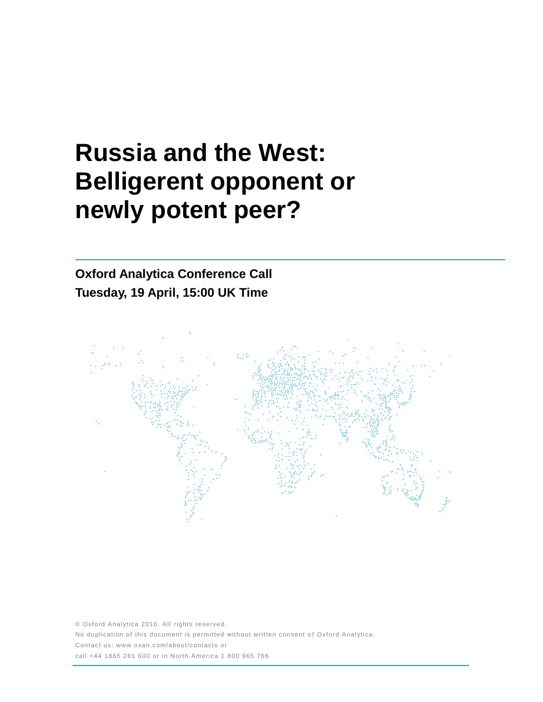# **Russia and the West: Belligerent opponent or newly potent peer?**

# **Oxford Analytica Conference Call Tuesday, 19 April, 15:00 UK Time**



© Oxford Analytica 2016. All rights reserved. No duplication of this document is permitted without written consent of Oxford Analytica. Contact us: www.oxan.com/about/contacts or call +44 1865 261 600 or in North America 1 800 965 766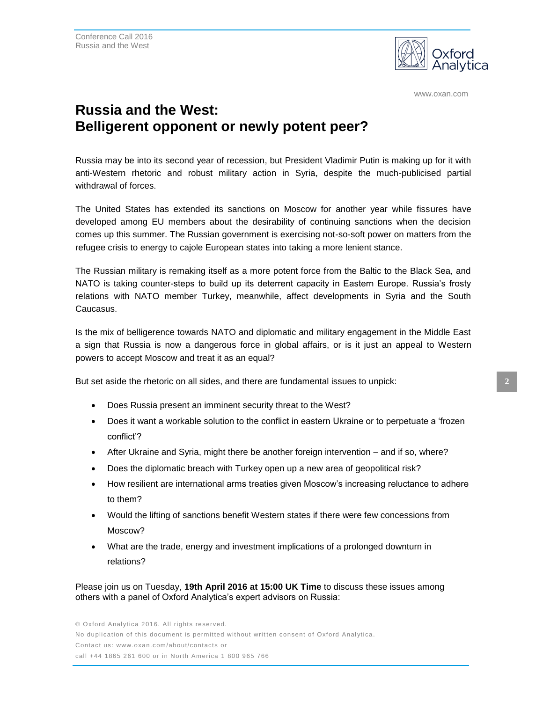

www.oxan.com

## **Russia and the West: Belligerent opponent or newly potent peer?**

Russia may be into its second year of recession, but President Vladimir Putin is making up for it with anti-Western rhetoric and robust military action in Syria, despite the much-publicised partial withdrawal of forces.

The United States has extended its sanctions on Moscow for another year while fissures have developed among EU members about the desirability of continuing sanctions when the decision comes up this summer. The Russian government is exercising not-so-soft power on matters from the refugee crisis to energy to cajole European states into taking a more lenient stance.

The Russian military is remaking itself as a more potent force from the Baltic to the Black Sea, and NATO is taking counter-steps to build up its deterrent capacity in Eastern Europe. Russia's frosty relations with NATO member Turkey, meanwhile, affect developments in Syria and the South Caucasus.

Is the mix of belligerence towards NATO and diplomatic and military engagement in the Middle East a sign that Russia is now a dangerous force in global affairs, or is it just an appeal to Western powers to accept Moscow and treat it as an equal?

But set aside the rhetoric on all sides, and there are fundamental issues to unpick:

- Does Russia present an imminent security threat to the West?
- Does it want a workable solution to the conflict in eastern Ukraine or to perpetuate a 'frozen conflict'?
- After Ukraine and Syria, might there be another foreign intervention and if so, where?
- Does the diplomatic breach with Turkey open up a new area of geopolitical risk?
- How resilient are international arms treaties given Moscow's increasing reluctance to adhere to them?
- Would the lifting of sanctions benefit Western states if there were few concessions from Moscow?
- What are the trade, energy and investment implications of a prolonged downturn in relations?

Please join us on Tuesday, **19th April 2016 at 15:00 UK Time** to discuss these issues among others with a panel of Oxford Analytica's expert advisors on Russia: